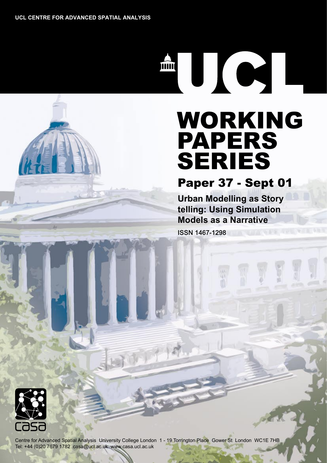# WORKING PAPERS SERIES

## Paper 37 - Sept 01

**Urban Modelling as Story telling: Using Simulation Models as a Narrative**

ISSN 1467-1298



Centre for Advanced Spatial Analysis University College London 1 - 19 Torrington Place Gower St London WC1E 7HB Tel: +44 (0)20 7679 1782 casa@ucl.ac.uk www.casa.ucl.ac.uk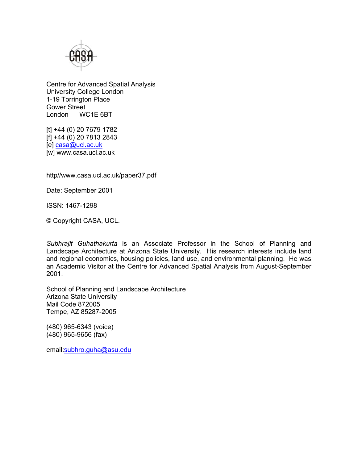

Centre for Advanced Spatial Analysis University College London 1-19 Torrington Place Gower Street London WC1E 6BT

[t] +44 (0) 20 7679 1782 [f] +44 (0) 20 7813 2843 [e] casa@ucl.ac.uk [w] www.casa.ucl.ac.uk

http//www.casa.ucl.ac.uk/paper37.pdf

Date: September 2001

ISSN: 1467-1298

© Copyright CASA, UCL.

*Subhrajit Guhathakurta* is an Associate Professor in the School of Planning and Landscape Architecture at Arizona State University. His research interests include land and regional economics, housing policies, land use, and environmental planning. He was an Academic Visitor at the Centre for Advanced Spatial Analysis from August-September 2001.

School of Planning and Landscape Architecture Arizona State University Mail Code 872005 Tempe, AZ 85287-2005

(480) 965-6343 (voice) (480) 965-9656 (fax)

email:subhro.guha@asu.edu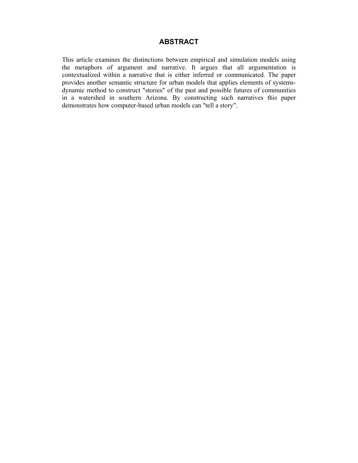### **ABSTRACT**

This article examines the distinctions between empirical and simulation models using the metaphors of argument and narrative. It argues that all argumentation is contextualized within a narrative that is either inferred or communicated. The paper provides another semantic structure for urban models that applies elements of systemsdynamic method to construct "stories" of the past and possible futures of communities in a watershed in southern Arizona. By constructing such narratives this paper demonstrates how computer-based urban models can "tell a story".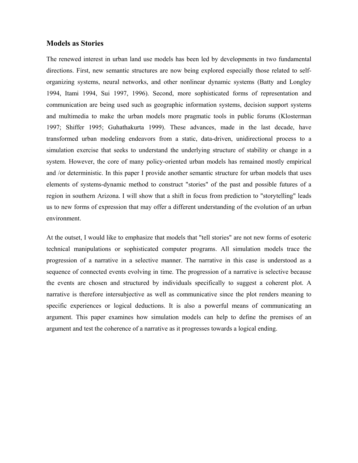#### **Models as Stories**

The renewed interest in urban land use models has been led by developments in two fundamental directions. First, new semantic structures are now being explored especially those related to selforganizing systems, neural networks, and other nonlinear dynamic systems (Batty and Longley 1994, Itami 1994, Sui 1997, 1996). Second, more sophisticated forms of representation and communication are being used such as geographic information systems, decision support systems and multimedia to make the urban models more pragmatic tools in public forums (Klosterman 1997; Shiffer 1995; Guhathakurta 1999). These advances, made in the last decade, have transformed urban modeling endeavors from a static, data-driven, unidirectional process to a simulation exercise that seeks to understand the underlying structure of stability or change in a system. However, the core of many policy-oriented urban models has remained mostly empirical and /or deterministic. In this paper I provide another semantic structure for urban models that uses elements of systems-dynamic method to construct "stories" of the past and possible futures of a region in southern Arizona. I will show that a shift in focus from prediction to "storytelling" leads us to new forms of expression that may offer a different understanding of the evolution of an urban environment.

At the outset, I would like to emphasize that models that "tell stories" are not new forms of esoteric technical manipulations or sophisticated computer programs. All simulation models trace the progression of a narrative in a selective manner. The narrative in this case is understood as a sequence of connected events evolving in time. The progression of a narrative is selective because the events are chosen and structured by individuals specifically to suggest a coherent plot. A narrative is therefore intersubjective as well as communicative since the plot renders meaning to specific experiences or logical deductions. It is also a powerful means of communicating an argument. This paper examines how simulation models can help to define the premises of an argument and test the coherence of a narrative as it progresses towards a logical ending.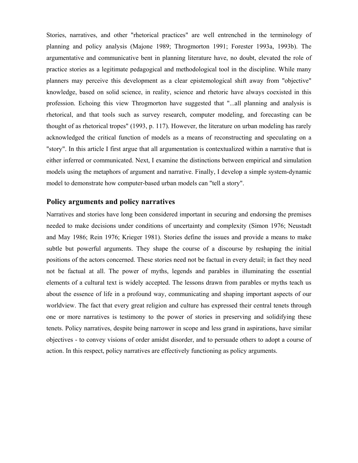Stories, narratives, and other "rhetorical practices" are well entrenched in the terminology of planning and policy analysis (Majone 1989; Throgmorton 1991; Forester 1993a, 1993b). The argumentative and communicative bent in planning literature have, no doubt, elevated the role of practice stories as a legitimate pedagogical and methodological tool in the discipline. While many planners may perceive this development as a clear epistemological shift away from "objective" knowledge, based on solid science, in reality, science and rhetoric have always coexisted in this profession. Echoing this view Throgmorton have suggested that "...all planning and analysis is rhetorical, and that tools such as survey research, computer modeling, and forecasting can be thought of as rhetorical tropes" (1993, p. 117). However, the literature on urban modeling has rarely acknowledged the critical function of models as a means of reconstructing and speculating on a "story". In this article I first argue that all argumentation is contextualized within a narrative that is either inferred or communicated. Next, I examine the distinctions between empirical and simulation models using the metaphors of argument and narrative. Finally, I develop a simple system-dynamic model to demonstrate how computer-based urban models can "tell a story".

#### **Policy arguments and policy narratives**

Narratives and stories have long been considered important in securing and endorsing the premises needed to make decisions under conditions of uncertainty and complexity (Simon 1976; Neustadt and May 1986; Rein 1976; Krieger 1981). Stories define the issues and provide a means to make subtle but powerful arguments. They shape the course of a discourse by reshaping the initial positions of the actors concerned. These stories need not be factual in every detail; in fact they need not be factual at all. The power of myths, legends and parables in illuminating the essential elements of a cultural text is widely accepted. The lessons drawn from parables or myths teach us about the essence of life in a profound way, communicating and shaping important aspects of our worldview. The fact that every great religion and culture has expressed their central tenets through one or more narratives is testimony to the power of stories in preserving and solidifying these tenets. Policy narratives, despite being narrower in scope and less grand in aspirations, have similar objectives - to convey visions of order amidst disorder, and to persuade others to adopt a course of action. In this respect, policy narratives are effectively functioning as policy arguments.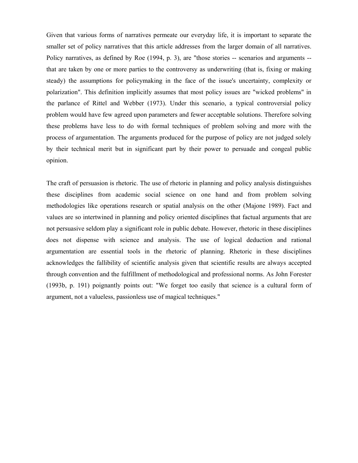Given that various forms of narratives permeate our everyday life, it is important to separate the smaller set of policy narratives that this article addresses from the larger domain of all narratives. Policy narratives, as defined by Roe (1994, p. 3), are "those stories -- scenarios and arguments - that are taken by one or more parties to the controversy as underwriting (that is, fixing or making steady) the assumptions for policymaking in the face of the issue's uncertainty, complexity or polarization". This definition implicitly assumes that most policy issues are "wicked problems" in the parlance of Rittel and Webber (1973). Under this scenario, a typical controversial policy problem would have few agreed upon parameters and fewer acceptable solutions. Therefore solving these problems have less to do with formal techniques of problem solving and more with the process of argumentation. The arguments produced for the purpose of policy are not judged solely by their technical merit but in significant part by their power to persuade and congeal public opinion.

The craft of persuasion is rhetoric. The use of rhetoric in planning and policy analysis distinguishes these disciplines from academic social science on one hand and from problem solving methodologies like operations research or spatial analysis on the other (Majone 1989). Fact and values are so intertwined in planning and policy oriented disciplines that factual arguments that are not persuasive seldom play a significant role in public debate. However, rhetoric in these disciplines does not dispense with science and analysis. The use of logical deduction and rational argumentation are essential tools in the rhetoric of planning. Rhetoric in these disciplines acknowledges the fallibility of scientific analysis given that scientific results are always accepted through convention and the fulfillment of methodological and professional norms. As John Forester (1993b, p. 191) poignantly points out: "We forget too easily that science is a cultural form of argument, not a valueless, passionless use of magical techniques."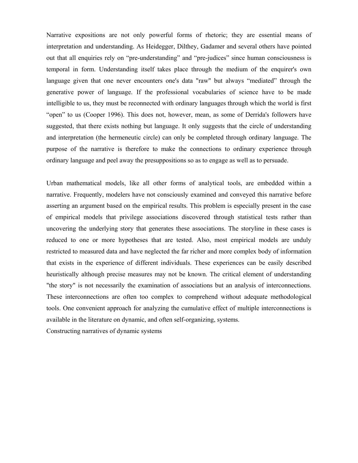Narrative expositions are not only powerful forms of rhetoric; they are essential means of interpretation and understanding. As Heidegger, Dilthey, Gadamer and several others have pointed out that all enquiries rely on "pre-understanding" and "pre-judices" since human consciousness is temporal in form. Understanding itself takes place through the medium of the enquirer's own language given that one never encounters one's data "raw" but always "mediated" through the generative power of language. If the professional vocabularies of science have to be made intelligible to us, they must be reconnected with ordinary languages through which the world is first ìopenî to us (Cooper 1996). This does not, however, mean, as some of Derrida's followers have suggested, that there exists nothing but language. It only suggests that the circle of understanding and interpretation (the hermeneutic circle) can only be completed through ordinary language. The purpose of the narrative is therefore to make the connections to ordinary experience through ordinary language and peel away the presuppositions so as to engage as well as to persuade.

Urban mathematical models, like all other forms of analytical tools, are embedded within a narrative. Frequently, modelers have not consciously examined and conveyed this narrative before asserting an argument based on the empirical results. This problem is especially present in the case of empirical models that privilege associations discovered through statistical tests rather than uncovering the underlying story that generates these associations. The storyline in these cases is reduced to one or more hypotheses that are tested. Also, most empirical models are unduly restricted to measured data and have neglected the far richer and more complex body of information that exists in the experience of different individuals. These experiences can be easily described heuristically although precise measures may not be known. The critical element of understanding "the story" is not necessarily the examination of associations but an analysis of interconnections. These interconnections are often too complex to comprehend without adequate methodological tools. One convenient approach for analyzing the cumulative effect of multiple interconnections is available in the literature on dynamic, and often self-organizing, systems.

Constructing narratives of dynamic systems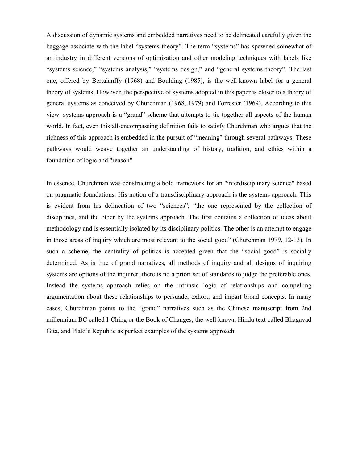A discussion of dynamic systems and embedded narratives need to be delineated carefully given the baggage associate with the label "systems theory". The term "systems" has spawned somewhat of an industry in different versions of optimization and other modeling techniques with labels like "systems science," "systems analysis," "systems design," and "general systems theory". The last one, offered by Bertalanffy (1968) and Boulding (1985), is the well-known label for a general theory of systems. However, the perspective of systems adopted in this paper is closer to a theory of general systems as conceived by Churchman (1968, 1979) and Forrester (1969). According to this view, systems approach is a "grand" scheme that attempts to tie together all aspects of the human world. In fact, even this all-encompassing definition fails to satisfy Churchman who argues that the richness of this approach is embedded in the pursuit of "meaning" through several pathways. These pathways would weave together an understanding of history, tradition, and ethics within a foundation of logic and "reason".

In essence, Churchman was constructing a bold framework for an "interdisciplinary science" based on pragmatic foundations. His notion of a transdisciplinary approach is the systems approach. This is evident from his delineation of two "sciences"; "the one represented by the collection of disciplines, and the other by the systems approach. The first contains a collection of ideas about methodology and is essentially isolated by its disciplinary politics. The other is an attempt to engage in those areas of inquiry which are most relevant to the social good" (Churchman 1979, 12-13). In such a scheme, the centrality of politics is accepted given that the "social good" is socially determined. As is true of grand narratives, all methods of inquiry and all designs of inquiring systems are options of the inquirer; there is no a priori set of standards to judge the preferable ones. Instead the systems approach relies on the intrinsic logic of relationships and compelling argumentation about these relationships to persuade, exhort, and impart broad concepts. In many cases, Churchman points to the "grand" narratives such as the Chinese manuscript from 2nd millennium BC called I-Ching or the Book of Changes, the well known Hindu text called Bhagavad Gita, and Plato's Republic as perfect examples of the systems approach.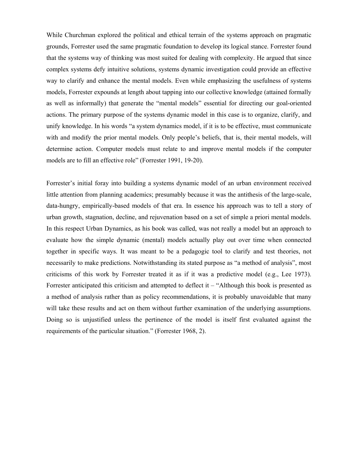While Churchman explored the political and ethical terrain of the systems approach on pragmatic grounds, Forrester used the same pragmatic foundation to develop its logical stance. Forrester found that the systems way of thinking was most suited for dealing with complexity. He argued that since complex systems defy intuitive solutions, systems dynamic investigation could provide an effective way to clarify and enhance the mental models. Even while emphasizing the usefulness of systems models, Forrester expounds at length about tapping into our collective knowledge (attained formally as well as informally) that generate the "mental models" essential for directing our goal-oriented actions. The primary purpose of the systems dynamic model in this case is to organize, clarify, and unify knowledge. In his words "a system dynamics model, if it is to be effective, must communicate with and modify the prior mental models. Only people's beliefs, that is, their mental models, will determine action. Computer models must relate to and improve mental models if the computer models are to fill an effective role" (Forrester 1991, 19-20).

Forrester's initial foray into building a systems dynamic model of an urban environment received little attention from planning academics; presumably because it was the antithesis of the large-scale, data-hungry, empirically-based models of that era. In essence his approach was to tell a story of urban growth, stagnation, decline, and rejuvenation based on a set of simple a priori mental models. In this respect Urban Dynamics, as his book was called, was not really a model but an approach to evaluate how the simple dynamic (mental) models actually play out over time when connected together in specific ways. It was meant to be a pedagogic tool to clarify and test theories, not necessarily to make predictions. Notwithstanding its stated purpose as "a method of analysis", most criticisms of this work by Forrester treated it as if it was a predictive model (e.g., Lee 1973). Forrester anticipated this criticism and attempted to deflect it  $-$  "Although this book is presented as a method of analysis rather than as policy recommendations, it is probably unavoidable that many will take these results and act on them without further examination of the underlying assumptions. Doing so is unjustified unless the pertinence of the model is itself first evaluated against the requirements of the particular situation." (Forrester 1968, 2).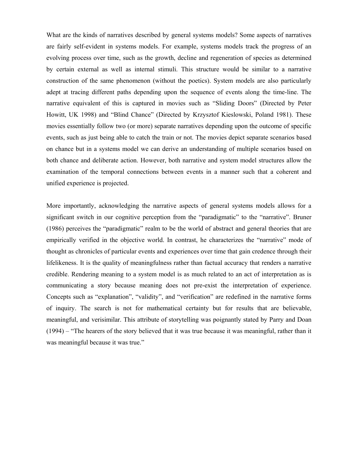What are the kinds of narratives described by general systems models? Some aspects of narratives are fairly self-evident in systems models. For example, systems models track the progress of an evolving process over time, such as the growth, decline and regeneration of species as determined by certain external as well as internal stimuli. This structure would be similar to a narrative construction of the same phenomenon (without the poetics). System models are also particularly adept at tracing different paths depending upon the sequence of events along the time-line. The narrative equivalent of this is captured in movies such as "Sliding Doors" (Directed by Peter Howitt, UK 1998) and "Blind Chance" (Directed by Krzysztof Kieslowski, Poland 1981). These movies essentially follow two (or more) separate narratives depending upon the outcome of specific events, such as just being able to catch the train or not. The movies depict separate scenarios based on chance but in a systems model we can derive an understanding of multiple scenarios based on both chance and deliberate action. However, both narrative and system model structures allow the examination of the temporal connections between events in a manner such that a coherent and unified experience is projected.

More importantly, acknowledging the narrative aspects of general systems models allows for a significant switch in our cognitive perception from the "paradigmatic" to the "narrative". Bruner  $(1986)$  perceives the "paradigmatic" realm to be the world of abstract and general theories that are empirically verified in the objective world. In contrast, he characterizes the "narrative" mode of thought as chronicles of particular events and experiences over time that gain credence through their lifelikeness. It is the quality of meaningfulness rather than factual accuracy that renders a narrative credible. Rendering meaning to a system model is as much related to an act of interpretation as is communicating a story because meaning does not pre-exist the interpretation of experience. Concepts such as "explanation", "validity", and "verification" are redefined in the narrative forms of inquiry. The search is not for mathematical certainty but for results that are believable, meaningful, and verisimilar. This attribute of storytelling was poignantly stated by Parry and Doan  $(1994)$  – "The hearers of the story believed that it was true because it was meaningful, rather than it was meaningful because it was true."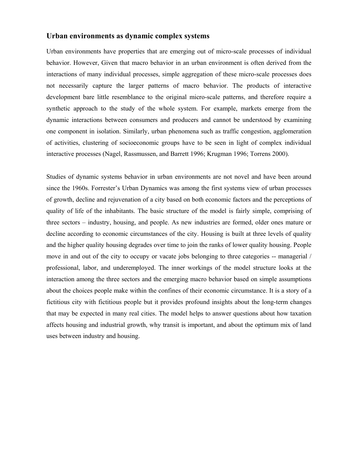#### **Urban environments as dynamic complex systems**

Urban environments have properties that are emerging out of micro-scale processes of individual behavior. However, Given that macro behavior in an urban environment is often derived from the interactions of many individual processes, simple aggregation of these micro-scale processes does not necessarily capture the larger patterns of macro behavior. The products of interactive development bare little resemblance to the original micro-scale patterns, and therefore require a synthetic approach to the study of the whole system. For example, markets emerge from the dynamic interactions between consumers and producers and cannot be understood by examining one component in isolation. Similarly, urban phenomena such as traffic congestion, agglomeration of activities, clustering of socioeconomic groups have to be seen in light of complex individual interactive processes (Nagel, Rassmussen, and Barrett 1996; Krugman 1996; Torrens 2000).

Studies of dynamic systems behavior in urban environments are not novel and have been around since the 1960s. Forrester's Urban Dynamics was among the first systems view of urban processes of growth, decline and rejuvenation of a city based on both economic factors and the perceptions of quality of life of the inhabitants. The basic structure of the model is fairly simple, comprising of three sectors – industry, housing, and people. As new industries are formed, older ones mature or decline according to economic circumstances of the city. Housing is built at three levels of quality and the higher quality housing degrades over time to join the ranks of lower quality housing. People move in and out of the city to occupy or vacate jobs belonging to three categories -- managerial / professional, labor, and underemployed. The inner workings of the model structure looks at the interaction among the three sectors and the emerging macro behavior based on simple assumptions about the choices people make within the confines of their economic circumstance. It is a story of a fictitious city with fictitious people but it provides profound insights about the long-term changes that may be expected in many real cities. The model helps to answer questions about how taxation affects housing and industrial growth, why transit is important, and about the optimum mix of land uses between industry and housing.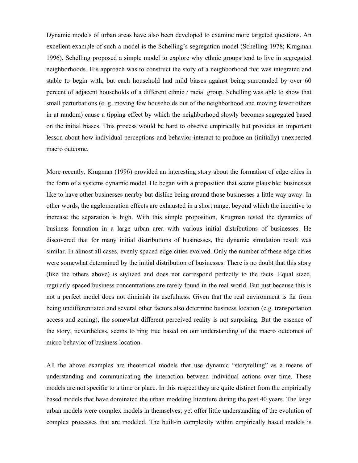Dynamic models of urban areas have also been developed to examine more targeted questions. An excellent example of such a model is the Schelling's segregation model (Schelling 1978; Krugman 1996). Schelling proposed a simple model to explore why ethnic groups tend to live in segregated neighborhoods. His approach was to construct the story of a neighborhood that was integrated and stable to begin with, but each household had mild biases against being surrounded by over 60 percent of adjacent households of a different ethnic / racial group. Schelling was able to show that small perturbations (e. g. moving few households out of the neighborhood and moving fewer others in at random) cause a tipping effect by which the neighborhood slowly becomes segregated based on the initial biases. This process would be hard to observe empirically but provides an important lesson about how individual perceptions and behavior interact to produce an (initially) unexpected macro outcome.

More recently, Krugman (1996) provided an interesting story about the formation of edge cities in the form of a systems dynamic model. He began with a proposition that seems plausible: businesses like to have other businesses nearby but dislike being around those businesses a little way away. In other words, the agglomeration effects are exhausted in a short range, beyond which the incentive to increase the separation is high. With this simple proposition, Krugman tested the dynamics of business formation in a large urban area with various initial distributions of businesses. He discovered that for many initial distributions of businesses, the dynamic simulation result was similar. In almost all cases, evenly spaced edge cities evolved. Only the number of these edge cities were somewhat determined by the initial distribution of businesses. There is no doubt that this story (like the others above) is stylized and does not correspond perfectly to the facts. Equal sized, regularly spaced business concentrations are rarely found in the real world. But just because this is not a perfect model does not diminish its usefulness. Given that the real environment is far from being undifferentiated and several other factors also determine business location (e.g. transportation access and zoning), the somewhat different perceived reality is not surprising. But the essence of the story, nevertheless, seems to ring true based on our understanding of the macro outcomes of micro behavior of business location.

All the above examples are theoretical models that use dynamic "storytelling" as a means of understanding and communicating the interaction between individual actions over time. These models are not specific to a time or place. In this respect they are quite distinct from the empirically based models that have dominated the urban modeling literature during the past 40 years. The large urban models were complex models in themselves; yet offer little understanding of the evolution of complex processes that are modeled. The built-in complexity within empirically based models is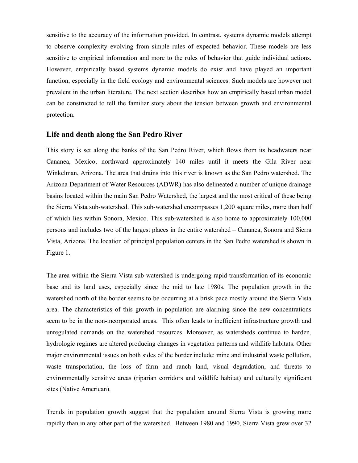sensitive to the accuracy of the information provided. In contrast, systems dynamic models attempt to observe complexity evolving from simple rules of expected behavior. These models are less sensitive to empirical information and more to the rules of behavior that guide individual actions. However, empirically based systems dynamic models do exist and have played an important function, especially in the field ecology and environmental sciences. Such models are however not prevalent in the urban literature. The next section describes how an empirically based urban model can be constructed to tell the familiar story about the tension between growth and environmental protection.

#### **Life and death along the San Pedro River**

This story is set along the banks of the San Pedro River, which flows from its headwaters near Cananea, Mexico, northward approximately 140 miles until it meets the Gila River near Winkelman, Arizona. The area that drains into this river is known as the San Pedro watershed. The Arizona Department of Water Resources (ADWR) has also delineated a number of unique drainage basins located within the main San Pedro Watershed, the largest and the most critical of these being the Sierra Vista sub-watershed. This sub-watershed encompasses 1,200 square miles, more than half of which lies within Sonora, Mexico. This sub-watershed is also home to approximately 100,000 persons and includes two of the largest places in the entire watershed – Cananea, Sonora and Sierra Vista, Arizona. The location of principal population centers in the San Pedro watershed is shown in Figure 1.

The area within the Sierra Vista sub-watershed is undergoing rapid transformation of its economic base and its land uses, especially since the mid to late 1980s. The population growth in the watershed north of the border seems to be occurring at a brisk pace mostly around the Sierra Vista area. The characteristics of this growth in population are alarming since the new concentrations seem to be in the non-incorporated areas. This often leads to inefficient infrastructure growth and unregulated demands on the watershed resources. Moreover, as watersheds continue to harden, hydrologic regimes are altered producing changes in vegetation patterns and wildlife habitats. Other major environmental issues on both sides of the border include: mine and industrial waste pollution, waste transportation, the loss of farm and ranch land, visual degradation, and threats to environmentally sensitive areas (riparian corridors and wildlife habitat) and culturally significant sites (Native American).

Trends in population growth suggest that the population around Sierra Vista is growing more rapidly than in any other part of the watershed. Between 1980 and 1990, Sierra Vista grew over 32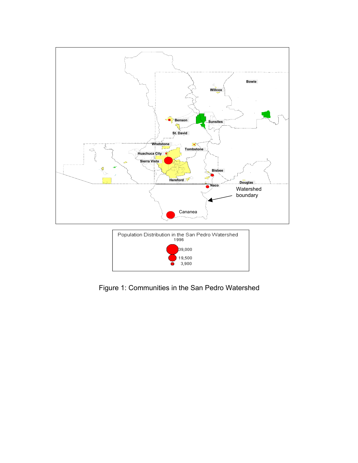

Figure 1: Communities in the San Pedro Watershed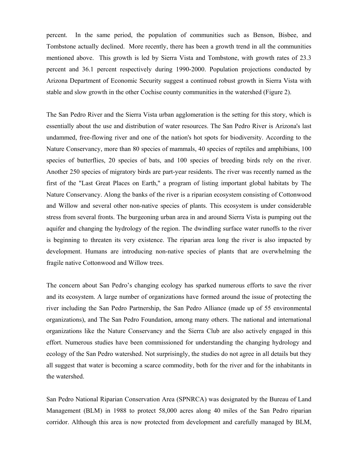percent. In the same period, the population of communities such as Benson, Bisbee, and Tombstone actually declined. More recently, there has been a growth trend in all the communities mentioned above. This growth is led by Sierra Vista and Tombstone, with growth rates of 23.3 percent and 36.1 percent respectively during 1990-2000. Population projections conducted by Arizona Department of Economic Security suggest a continued robust growth in Sierra Vista with stable and slow growth in the other Cochise county communities in the watershed (Figure 2).

The San Pedro River and the Sierra Vista urban agglomeration is the setting for this story, which is essentially about the use and distribution of water resources. The San Pedro River is Arizona's last undammed, free-flowing river and one of the nation's hot spots for biodiversity. According to the Nature Conservancy, more than 80 species of mammals, 40 species of reptiles and amphibians, 100 species of butterflies, 20 species of bats, and 100 species of breeding birds rely on the river. Another 250 species of migratory birds are part-year residents. The river was recently named as the first of the "Last Great Places on Earth," a program of listing important global habitats by The Nature Conservancy. Along the banks of the river is a riparian ecosystem consisting of Cottonwood and Willow and several other non-native species of plants. This ecosystem is under considerable stress from several fronts. The burgeoning urban area in and around Sierra Vista is pumping out the aquifer and changing the hydrology of the region. The dwindling surface water runoffs to the river is beginning to threaten its very existence. The riparian area long the river is also impacted by development. Humans are introducing non-native species of plants that are overwhelming the fragile native Cottonwood and Willow trees.

The concern about San Pedro's changing ecology has sparked numerous efforts to save the river and its ecosystem. A large number of organizations have formed around the issue of protecting the river including the San Pedro Partnership, the San Pedro Alliance (made up of 55 environmental organizations), and The San Pedro Foundation, among many others. The national and international organizations like the Nature Conservancy and the Sierra Club are also actively engaged in this effort. Numerous studies have been commissioned for understanding the changing hydrology and ecology of the San Pedro watershed. Not surprisingly, the studies do not agree in all details but they all suggest that water is becoming a scarce commodity, both for the river and for the inhabitants in the watershed.

San Pedro National Riparian Conservation Area (SPNRCA) was designated by the Bureau of Land Management (BLM) in 1988 to protect 58,000 acres along 40 miles of the San Pedro riparian corridor. Although this area is now protected from development and carefully managed by BLM,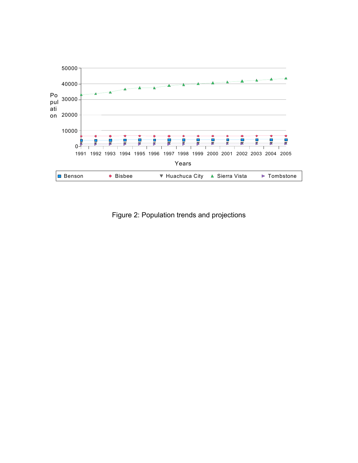

Figure 2: Population trends and projections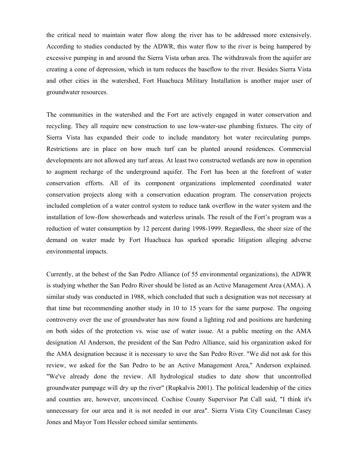the critical need to maintain water flow along the river has to be addressed more extensively. According to studies conducted by the ADWR, this water flow to the river is being hampered by excessive pumping in and around the Sierra Vista urban area. The withdrawals from the aquifer are creating a cone of depression, which in turn reduces the baseflow to the river. Besides Sierra Vista and other cities in the watershed, Fort Huachuca Military Installation is another major user of groundwater resources.

The communities in the watershed and the Fort are actively engaged in water conservation and recycling. They all require new construction to use low-water-use plumbing fixtures. The city of Sierra Vista has expanded their code to include mandatory hot water recirculating pumps. Restrictions are in place on how much turf can be planted around residences. Commercial developments are not allowed any turf areas. At least two constructed wetlands are now in operation to augment recharge of the underground aquifer. The Fort has been at the forefront of water conservation efforts. All of its component organizations implemented coordinated water conservation projects along with a conservation education program. The conservation projects included completion of a water control system to reduce tank overflow in the water system and the installation of low-flow showerheads and waterless urinals. The result of the Fort's program was a reduction of water consumption by 12 percent during 1998-1999. Regardless, the sheer size of the demand on water made by Fort Huachuca has sparked sporadic litigation alleging adverse environmental impacts.

Currently, at the behest of the San Pedro Alliance (of 55 environmental organizations), the ADWR is studying whether the San Pedro River should be listed as an Active Management Area (AMA). A similar study was conducted in 1988, which concluded that such a designation was not necessary at that time but recommending another study in 10 to 15 years for the same purpose. The ongoing controversy over the use of groundwater has now found a lighting rod and positions are hardening on both sides of the protection vs. wise use of water issue. At a public meeting on the AMA designation Al Anderson, the president of the San Pedro Alliance, said his organization asked for the AMA designation because it is necessary to save the San Pedro River. "We did not ask for this review, we asked for the San Pedro to be an Active Management Area," Anderson explained. "We've already done the review. All hydrological studies to date show that uncontrolled groundwater pumpage will dry up the river" (Rupkalvis 2001). The political leadership of the cities and counties are, however, unconvinced. Cochise County Supervisor Pat Call said, "I think it's unnecessary for our area and it is not needed in our area". Sierra Vista City Councilman Casey Jones and Mayor Tom Hessler echoed similar sentiments.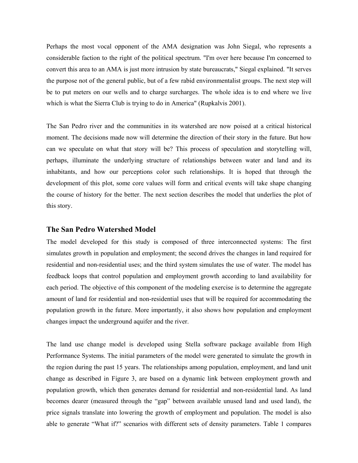Perhaps the most vocal opponent of the AMA designation was John Siegal, who represents a considerable faction to the right of the political spectrum. "I'm over here because I'm concerned to convert this area to an AMA is just more intrusion by state bureaucrats," Siegal explained. "It serves the purpose not of the general public, but of a few rabid environmentalist groups. The next step will be to put meters on our wells and to charge surcharges. The whole idea is to end where we live which is what the Sierra Club is trying to do in America" (Rupkalvis 2001).

The San Pedro river and the communities in its watershed are now poised at a critical historical moment. The decisions made now will determine the direction of their story in the future. But how can we speculate on what that story will be? This process of speculation and storytelling will, perhaps, illuminate the underlying structure of relationships between water and land and its inhabitants, and how our perceptions color such relationships. It is hoped that through the development of this plot, some core values will form and critical events will take shape changing the course of history for the better. The next section describes the model that underlies the plot of this story.

#### **The San Pedro Watershed Model**

The model developed for this study is composed of three interconnected systems: The first simulates growth in population and employment; the second drives the changes in land required for residential and non-residential uses; and the third system simulates the use of water. The model has feedback loops that control population and employment growth according to land availability for each period. The objective of this component of the modeling exercise is to determine the aggregate amount of land for residential and non-residential uses that will be required for accommodating the population growth in the future. More importantly, it also shows how population and employment changes impact the underground aquifer and the river.

The land use change model is developed using Stella software package available from High Performance Systems. The initial parameters of the model were generated to simulate the growth in the region during the past 15 years. The relationships among population, employment, and land unit change as described in Figure 3, are based on a dynamic link between employment growth and population growth, which then generates demand for residential and non-residential land. As land becomes dearer (measured through the "gap" between available unused land and used land), the price signals translate into lowering the growth of employment and population. The model is also able to generate "What if?" scenarios with different sets of density parameters. Table 1 compares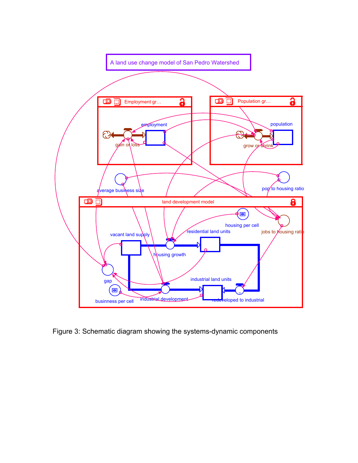

Figure 3: Schematic diagram showing the systems-dynamic components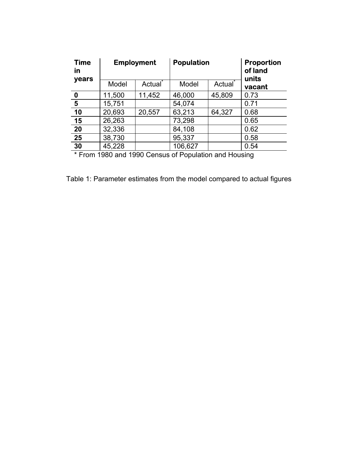| <b>Time</b><br>in<br>years                            | <b>Employment</b> |        | <b>Population</b> |        | Proportion<br>of land<br>units |
|-------------------------------------------------------|-------------------|--------|-------------------|--------|--------------------------------|
|                                                       | Model             | Actual | Model             | Actual | vacant                         |
| $\boldsymbol{0}$                                      | 11,500            | 11,452 | 46,000            | 45,809 | 0.73                           |
| $\sqrt{5}$                                            | 15,751            |        | 54,074            |        | 0.71                           |
| 10                                                    | 20,693            | 20,557 | 63,213            | 64,327 | 0.68                           |
| 15                                                    | 26,263            |        | 73,298            |        | 0.65                           |
| 20                                                    | 32,336            |        | 84,108            |        | 0.62                           |
| 25                                                    | 38,730            |        | 95,337            |        | 0.58                           |
| 30                                                    | 45,228            |        | 106,627           |        | 0.54                           |
| * From 1980 and 1990 Census of Population and Housing |                   |        |                   |        |                                |

Table 1: Parameter estimates from the model compared to actual figures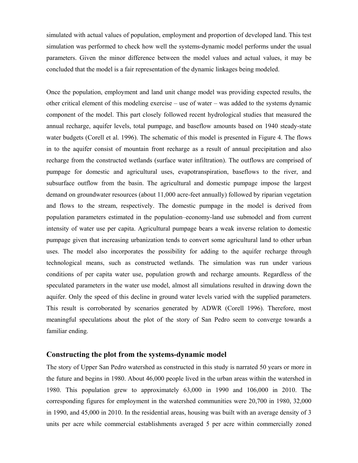simulated with actual values of population, employment and proportion of developed land. This test simulation was performed to check how well the systems-dynamic model performs under the usual parameters. Given the minor difference between the model values and actual values, it may be concluded that the model is a fair representation of the dynamic linkages being modeled.

Once the population, employment and land unit change model was providing expected results, the other critical element of this modeling exercise – use of water – was added to the systems dynamic component of the model. This part closely followed recent hydrological studies that measured the annual recharge, aquifer levels, total pumpage, and baseflow amounts based on 1940 steady-state water budgets (Corell et al. 1996). The schematic of this model is presented in Figure 4. The flows in to the aquifer consist of mountain front recharge as a result of annual precipitation and also recharge from the constructed wetlands (surface water infiltration). The outflows are comprised of pumpage for domestic and agricultural uses, evapotranspiration, baseflows to the river, and subsurface outflow from the basin. The agricultural and domestic pumpage impose the largest demand on groundwater resources (about 11,000 acre-feet annually) followed by riparian vegetation and flows to the stream, respectively. The domestic pumpage in the model is derived from population parameters estimated in the population—economy-land use submodel and from current intensity of water use per capita. Agricultural pumpage bears a weak inverse relation to domestic pumpage given that increasing urbanization tends to convert some agricultural land to other urban uses. The model also incorporates the possibility for adding to the aquifer recharge through technological means, such as constructed wetlands. The simulation was run under various conditions of per capita water use, population growth and recharge amounts. Regardless of the speculated parameters in the water use model, almost all simulations resulted in drawing down the aquifer. Only the speed of this decline in ground water levels varied with the supplied parameters. This result is corroborated by scenarios generated by ADWR (Corell 1996). Therefore, most meaningful speculations about the plot of the story of San Pedro seem to converge towards a familiar ending.

#### **Constructing the plot from the systems-dynamic model**

The story of Upper San Pedro watershed as constructed in this study is narrated 50 years or more in the future and begins in 1980. About 46,000 people lived in the urban areas within the watershed in 1980. This population grew to approximately 63,000 in 1990 and 106,000 in 2010. The corresponding figures for employment in the watershed communities were 20,700 in 1980, 32,000 in 1990, and 45,000 in 2010. In the residential areas, housing was built with an average density of 3 units per acre while commercial establishments averaged 5 per acre within commercially zoned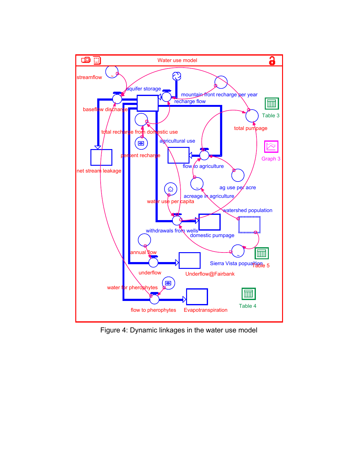

Figure 4: Dynamic linkages in the water use model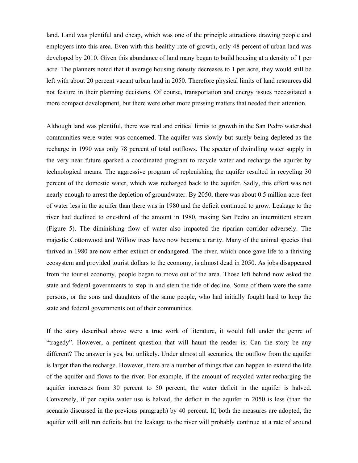land. Land was plentiful and cheap, which was one of the principle attractions drawing people and employers into this area. Even with this healthy rate of growth, only 48 percent of urban land was developed by 2010. Given this abundance of land many began to build housing at a density of 1 per acre. The planners noted that if average housing density decreases to 1 per acre, they would still be left with about 20 percent vacant urban land in 2050. Therefore physical limits of land resources did not feature in their planning decisions. Of course, transportation and energy issues necessitated a more compact development, but there were other more pressing matters that needed their attention.

Although land was plentiful, there was real and critical limits to growth in the San Pedro watershed communities were water was concerned. The aquifer was slowly but surely being depleted as the recharge in 1990 was only 78 percent of total outflows. The specter of dwindling water supply in the very near future sparked a coordinated program to recycle water and recharge the aquifer by technological means. The aggressive program of replenishing the aquifer resulted in recycling 30 percent of the domestic water, which was recharged back to the aquifer. Sadly, this effort was not nearly enough to arrest the depletion of groundwater. By 2050, there was about 0.5 million acre-feet of water less in the aquifer than there was in 1980 and the deficit continued to grow. Leakage to the river had declined to one-third of the amount in 1980, making San Pedro an intermittent stream (Figure 5). The diminishing flow of water also impacted the riparian corridor adversely. The majestic Cottonwood and Willow trees have now become a rarity. Many of the animal species that thrived in 1980 are now either extinct or endangered. The river, which once gave life to a thriving ecosystem and provided tourist dollars to the economy, is almost dead in 2050. As jobs disappeared from the tourist economy, people began to move out of the area. Those left behind now asked the state and federal governments to step in and stem the tide of decline. Some of them were the same persons, or the sons and daughters of the same people, who had initially fought hard to keep the state and federal governments out of their communities.

If the story described above were a true work of literature, it would fall under the genre of ìtragedyî. However, a pertinent question that will haunt the reader is: Can the story be any different? The answer is yes, but unlikely. Under almost all scenarios, the outflow from the aquifer is larger than the recharge. However, there are a number of things that can happen to extend the life of the aquifer and flows to the river. For example, if the amount of recycled water recharging the aquifer increases from 30 percent to 50 percent, the water deficit in the aquifer is halved. Conversely, if per capita water use is halved, the deficit in the aquifer in 2050 is less (than the scenario discussed in the previous paragraph) by 40 percent. If, both the measures are adopted, the aquifer will still run deficits but the leakage to the river will probably continue at a rate of around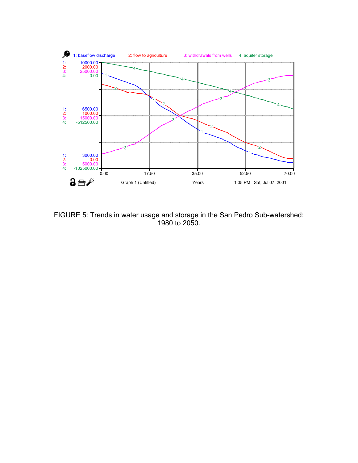

FIGURE 5: Trends in water usage and storage in the San Pedro Sub-watershed: 1980 to 2050.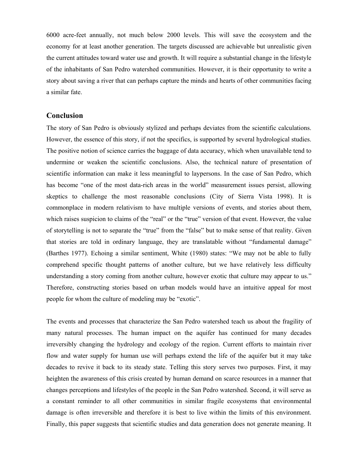6000 acre-feet annually, not much below 2000 levels. This will save the ecosystem and the economy for at least another generation. The targets discussed are achievable but unrealistic given the current attitudes toward water use and growth. It will require a substantial change in the lifestyle of the inhabitants of San Pedro watershed communities. However, it is their opportunity to write a story about saving a river that can perhaps capture the minds and hearts of other communities facing a similar fate.

### **Conclusion**

The story of San Pedro is obviously stylized and perhaps deviates from the scientific calculations. However, the essence of this story, if not the specifics, is supported by several hydrological studies. The positive notion of science carries the baggage of data accuracy, which when unavailable tend to undermine or weaken the scientific conclusions. Also, the technical nature of presentation of scientific information can make it less meaningful to laypersons. In the case of San Pedro, which has become "one of the most data-rich areas in the world" measurement issues persist, allowing skeptics to challenge the most reasonable conclusions (City of Sierra Vista 1998). It is commonplace in modern relativism to have multiple versions of events, and stories about them, which raises suspicion to claims of the "real" or the "true" version of that event. However, the value of storytelling is not to separate the "true" from the "false" but to make sense of that reality. Given that stories are told in ordinary language, they are translatable without "fundamental damage" (Barthes 1977). Echoing a similar sentiment, White (1980) states: "We may not be able to fully comprehend specific thought patterns of another culture, but we have relatively less difficulty understanding a story coming from another culture, however exotic that culture may appear to us." Therefore, constructing stories based on urban models would have an intuitive appeal for most people for whom the culture of modeling may be "exotic".

The events and processes that characterize the San Pedro watershed teach us about the fragility of many natural processes. The human impact on the aquifer has continued for many decades irreversibly changing the hydrology and ecology of the region. Current efforts to maintain river flow and water supply for human use will perhaps extend the life of the aquifer but it may take decades to revive it back to its steady state. Telling this story serves two purposes. First, it may heighten the awareness of this crisis created by human demand on scarce resources in a manner that changes perceptions and lifestyles of the people in the San Pedro watershed. Second, it will serve as a constant reminder to all other communities in similar fragile ecosystems that environmental damage is often irreversible and therefore it is best to live within the limits of this environment. Finally, this paper suggests that scientific studies and data generation does not generate meaning. It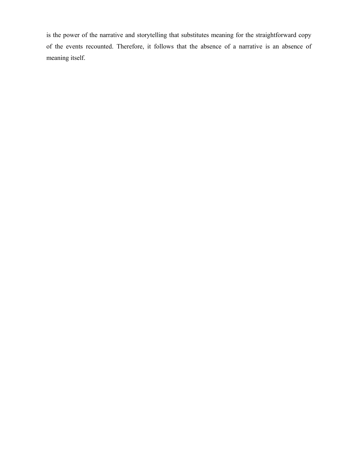is the power of the narrative and storytelling that substitutes meaning for the straightforward copy of the events recounted. Therefore, it follows that the absence of a narrative is an absence of meaning itself.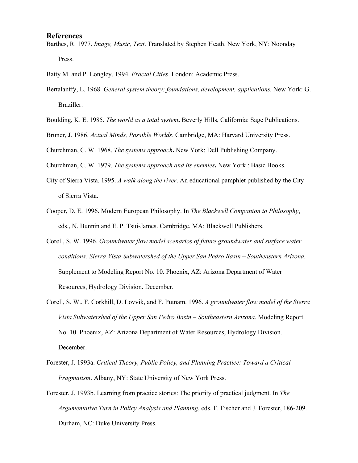#### **References**

Barthes, R. 1977. *Image, Music, Text*. Translated by Stephen Heath. New York, NY: Noonday Press.

Batty M. and P. Longley. 1994. *Fractal Cities*. London: Academic Press.

- Bertalanffy, L. 1968. *General system theory: foundations, development, applications*. New York: G. Braziller.
- Boulding, K. E. 1985. *The world as a total system***.** Beverly Hills, California: Sage Publications.
- Bruner, J. 1986. *Actual Minds, Possible Worlds*. Cambridge, MA: Harvard University Press.
- Churchman, C. W. 1968. *The systems approach***.** New York: Dell Publishing Company.
- Churchman, C. W. 1979. *The systems approach and its enemies***.** New York : Basic Books.
- City of Sierra Vista. 1995. *A walk along the river*. An educational pamphlet published by the City of Sierra Vista.
- Cooper, D. E. 1996. Modern European Philosophy. In *The Blackwell Companion to Philosophy*, eds., N. Bunnin and E. P. Tsui-James. Cambridge, MA: Blackwell Publishers.
- Corell, S. W. 1996. *Groundwater flow model scenarios of future groundwater and surface water conditions: Sierra Vista Subwatershed of the Upper San Pedro Basin – Southeastern Arizona.* Supplement to Modeling Report No. 10. Phoenix, AZ: Arizona Department of Water Resources, Hydrology Division. December.
- Corell, S. W., F. Corkhill, D. Lovvik, and F. Putnam. 1996. *A groundwater flow model of the Sierra Vista Subwatershed of the Upper San Pedro Basin – Southeastern Arizona*. Modeling Report No. 10. Phoenix, AZ: Arizona Department of Water Resources, Hydrology Division. December.
- Forester, J. 1993a. *Critical Theory, Public Policy, and Planning Practice: Toward a Critical Pragmatism*. Albany, NY: State University of New York Press.
- Forester, J. 1993b. Learning from practice stories: The priority of practical judgment. In *The Argumentative Turn in Policy Analysis and Planning*, eds. F. Fischer and J. Forester, 186-209. Durham, NC: Duke University Press.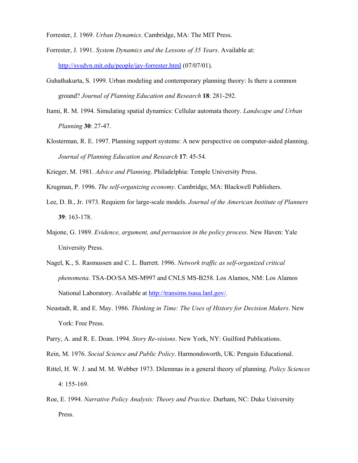Forrester, J. 1969. *Urban Dynamics*. Cambridge, MA: The MIT Press.

- Forrester, J. 1991. *System Dynamics and the Lessons of 35 Years*. Available at: http://sysdyn.mit.edu/people/jay-forrester.html (07/07/01).
- Guhathakurta, S. 1999. Urban modeling and contemporary planning theory: Is there a common ground? *Journal of Planning Education and Research* **18**: 281-292.
- Itami, R. M. 1994. Simulating spatial dynamics: Cellular automata theory. *Landscape and Urban Planning* **30**: 27-47.
- Klosterman, R. E. 1997. Planning support systems: A new perspective on computer-aided planning. *Journal of Planning Education and Research* **17**: 45-54.
- Krieger, M. 1981. *Advice and Planning*. Philadelphia: Temple University Press.
- Krugman, P. 1996. *The self-organizing economy*. Cambridge, MA: Blackwell Publishers.
- Lee, D. B., Jr. 1973. Requiem for large-scale models. *Journal of the American Institute of Planners* **39**: 163-178.
- Majone, G. 1989. *Evidence, argument, and persuasion in the policy process*. New Haven: Yale University Press.
- Nagel, K., S. Rasmussen and C. L. Barrett. 1996. *Network traffic as self-organized critical phenomena*. TSA-DO/SA MS-M997 and CNLS MS-B258. Los Alamos, NM: Los Alamos National Laboratory. Available at http://transims.tsasa.lanl.gov/.
- Neustadt, R. and E. May. 1986. *Thinking in Time: The Uses of History for Decision Makers*. New York: Free Press.
- Parry, A. and R. E. Doan. 1994. *Story Re-visions*. New York, NY: Guilford Publications.
- Rein, M. 1976. *Social Science and Public Policy*. Harmondsworth, UK: Penguin Educational.
- Rittel, H. W. J. and M. M. Webber 1973. Dilemmas in a general theory of planning. *Policy Sciences* 4: 155-169.
- Roe, E. 1994. *Narrative Policy Analysis: Theory and Practice*. Durham, NC: Duke University Press.